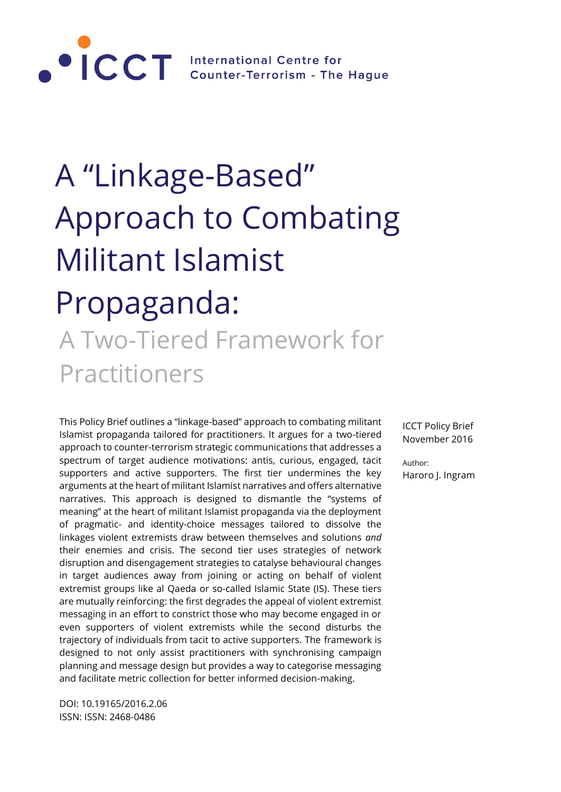

# A "Linkage-Based" Approach to Combating Militant Islamist Propaganda: A Two-Tiered Framework for

# Practitioners

This Policy Brief outlines a "linkage-based" approach to combating militant Islamist propaganda tailored for practitioners. It argues for a two-tiered approach to counter-terrorism strategic communications that addresses a spectrum of target audience motivations: antis, curious, engaged, tacit supporters and active supporters. The first tier undermines the key arguments at the heart of militant Islamist narratives and offers alternative narratives. This approach is designed to dismantle the "systems of meaning" at the heart of militant Islamist propaganda via the deployment of pragmatic- and identity-choice messages tailored to dissolve the linkages violent extremists draw between themselves and solutions *and* their enemies and crisis. The second tier uses strategies of network disruption and disengagement strategies to catalyse behavioural changes in target audiences away from joining or acting on behalf of violent extremist groups like al Qaeda or so-called Islamic State (IS). These tiers are mutually reinforcing: the first degrades the appeal of violent extremist messaging in an effort to constrict those who may become engaged in or even supporters of violent extremists while the second disturbs the trajectory of individuals from tacit to active supporters. The framework is designed to not only assist practitioners with synchronising campaign planning and message design but provides a way to categorise messaging and facilitate metric collection for better informed decision-making.

DOI: 10.19165/2016.2.06 ISSN: ISSN: 2468-0486

ICCT Policy Brief November 2016

Author: Haroro J. Ingram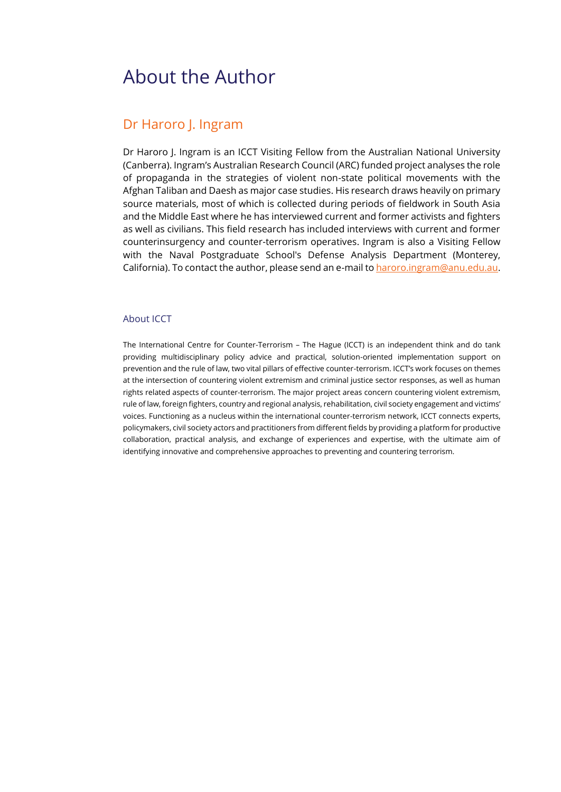# About the Author

### Dr Haroro J. Ingram

Dr Haroro J. Ingram is an ICCT Visiting Fellow from the Australian National University (Canberra). Ingram's Australian Research Council (ARC) funded project analyses the role of propaganda in the strategies of violent non-state political movements with the Afghan Taliban and Daesh as major case studies. His research draws heavily on primary source materials, most of which is collected during periods of fieldwork in South Asia and the Middle East where he has interviewed current and former activists and fighters as well as civilians. This field research has included interviews with current and former counterinsurgency and counter-terrorism operatives. Ingram is also a Visiting Fellow with the Naval Postgraduate School's Defense Analysis Department (Monterey, California). To contact the author, please send an e-mail t[o haroro.ingram@anu.edu.au.](mailto:haroro.ingram@anu.edu.au)

#### About ICCT

The International Centre for Counter-Terrorism – The Hague (ICCT) is an independent think and do tank providing multidisciplinary policy advice and practical, solution-oriented implementation support on prevention and the rule of law, two vital pillars of effective counter-terrorism. ICCT's work focuses on themes at the intersection of countering violent extremism and criminal justice sector responses, as well as human rights related aspects of counter-terrorism. The major project areas concern countering violent extremism, rule of law, foreign fighters, country and regional analysis, rehabilitation, civil society engagement and victims' voices. Functioning as a nucleus within the international counter-terrorism network, ICCT connects experts, policymakers, civil society actors and practitioners from different fields by providing a platform for productive collaboration, practical analysis, and exchange of experiences and expertise, with the ultimate aim of identifying innovative and comprehensive approaches to preventing and countering terrorism.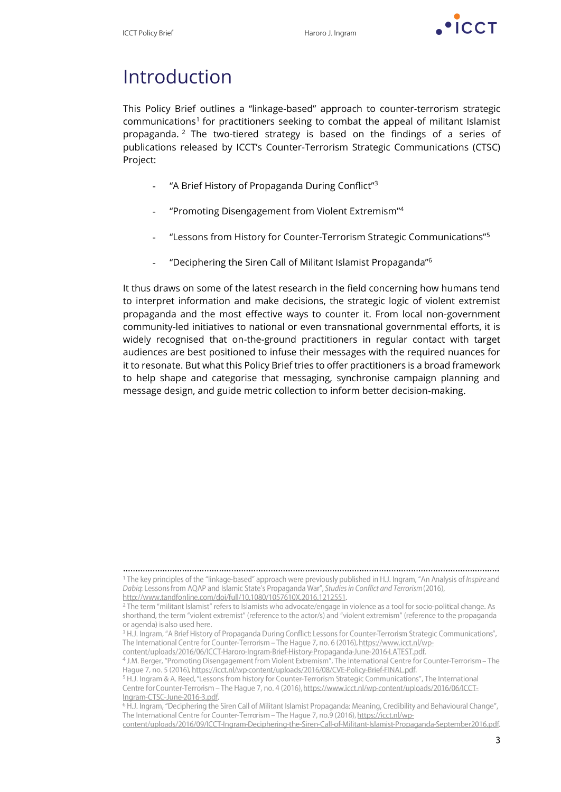

# Introduction

This Policy Brief outlines a "linkage-based" approach to counter-terrorism strategic communications<sup>1</sup> for practitioners seeking to combat the appeal of militant Islamist propaganda. <sup>2</sup> The two-tiered strategy is based on the findings of a series of publications released by ICCT's Counter-Terrorism Strategic Communications (CTSC) Project:

- "A Brief History of Propaganda During Conflict"<sup>3</sup>
- "Promoting Disengagement from Violent Extremism"<sup>4</sup>
- "Lessons from History for Counter-Terrorism Strategic Communications"<sup>5</sup>
- "Deciphering the Siren Call of Militant Islamist Propaganda"<sup>6</sup>

It thus draws on some of the latest research in the field concerning how humans tend to interpret information and make decisions, the strategic logic of violent extremist propaganda and the most effective ways to counter it. From local non-government community-led initiatives to national or even transnational governmental efforts, it is widely recognised that on-the-ground practitioners in regular contact with target audiences are best positioned to infuse their messages with the required nuances for it to resonate. But what this Policy Brief tries to offer practitioners is a broad framework to help shape and categorise that messaging, synchronise campaign planning and message design, and guide metric collection to inform better decision-making.

<sup>………………………………………………………………………………………………………………………………………</sup><sup>1</sup>The key principles of the "linkage-based" approach were previously published in H.J. Ingram, "An Analysis of Inspire and Dabiq: Lessons from AQAP and Islamic State's Propaganda War", Studies in Conflict and Terrorism (2016), http://www.tandfonline.com/doi/full/10.1080/1057610X.2016.1212551.

<sup>&</sup>lt;sup>2</sup> The term "militant Islamist" refers to Islamists who advocate/engage in violence as a tool for socio-political change. As shorthand, the term "violent extremist" (reference to the actor/s) and "violent extremism" (reference to the propaganda or agenda) is also used here.

<sup>&</sup>lt;sup>3</sup> H.J. Ingram, "A Brief History of Propaganda During Conflict Lessons for Counter-Terrorism Strategic Communications", The International Centre for Counter-Terrorism - The Hague 7, no. 6 (2016), https://www.icct.nl/wp-

content/uploads/2016/06/ICCT-Haroro-Ingram-Brief-History-Propaganda-June-2016-LATEST.pdf.

<sup>&</sup>lt;sup>4</sup> J.M. Berger, "Promoting Disengagement from Violent Extremism", The International Centre for Counter-Terrorism – The Hague 7, no. 5 (2016), https://icct.nl/wp-content/uploads/2016/08/CVE-Policy-Brief-FINAL.pdf.

<sup>&</sup>lt;sup>5</sup> H.J. Ingram & A. Reed, "Lessons from history for Counter-Terrorism Strategic Communications", The International Centre for Counter-Terrorism - The Hague 7, no. 4 (2016), https://www.icct.nl/wp-content/uploads/2016/06/ICCT-Ingram-CTSC-June-2016-3.pdf.

<sup>&</sup>lt;sup>6</sup> H.J. Ingram, "Deciphering the Siren Call of Militant Islamist Propaganda: Meaning, Credibility and Behavioural Change", The International Centre for Counter-Terrorism - The Hague 7, no.9 (2016), https://icct.nl/wp-

content/uploads/2016/09/ICCT-Ingram-Deciphering-the-Siren-Call-of-Militant-Islamist-Propaganda-September2016.pdf.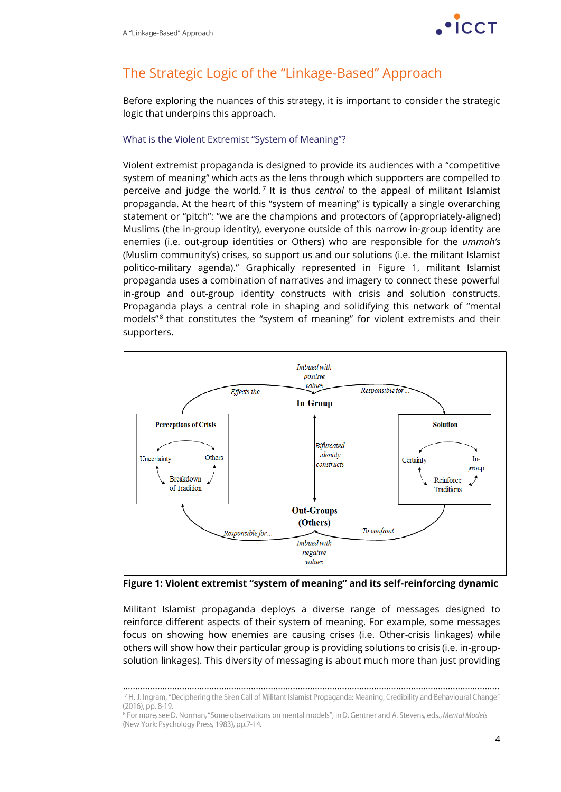

# The Strategic Logic of the "Linkage-Based" Approach

Before exploring the nuances of this strategy, it is important to consider the strategic logic that underpins this approach.

#### What is the Violent Extremist "System of Meaning"?

Violent extremist propaganda is designed to provide its audiences with a "competitive system of meaning" which acts as the lens through which supporters are compelled to perceive and judge the world.<sup>7</sup> It is thus *central* to the appeal of militant Islamist propaganda. At the heart of this "system of meaning" is typically a single overarching statement or "pitch": "we are the champions and protectors of (appropriately-aligned) Muslims (the in-group identity), everyone outside of this narrow in-group identity are enemies (i.e. out-group identities or Others) who are responsible for the *ummah's*  (Muslim community's) crises, so support us and our solutions (i.e. the militant Islamist politico-military agenda)." Graphically represented in Figure 1, militant Islamist propaganda uses a combination of narratives and imagery to connect these powerful in-group and out-group identity constructs with crisis and solution constructs. Propaganda plays a central role in shaping and solidifying this network of "mental models<sup>"8</sup> that constitutes the "system of meaning" for violent extremists and their supporters.



**Figure 1: Violent extremist "system of meaning" and its self-reinforcing dynamic**

Militant Islamist propaganda deploys a diverse range of messages designed to reinforce different aspects of their system of meaning. For example, some messages focus on showing how enemies are causing crises (i.e. Other-crisis linkages) while others will show how their particular group is providing solutions to crisis (i.e. in-groupsolution linkages). This diversity of messaging is about much more than just providing

<sup>………………………………………………………………………………………………………………………………………</sup>7 H. J. Ingram, "Deciphering the Siren Call of Militant Islamist Propaganda: Meaning, Credibility and Behavioural Change" (2016), pp. 8-19.

<sup>&</sup>lt;sup>8</sup> For more, see D. Norman, "Some observations on mental models", in D. Gentner and A. Stevens, eds., Mental Models (New York: Psychology Press, 1983), pp.7-14.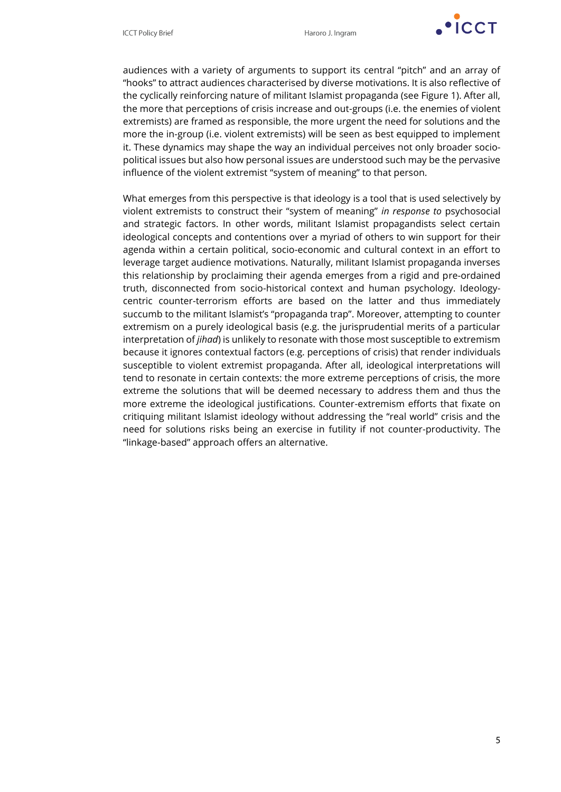

audiences with a variety of arguments to support its central "pitch" and an array of "hooks" to attract audiences characterised by diverse motivations. It is also reflective of the cyclically reinforcing nature of militant Islamist propaganda (see Figure 1). After all, the more that perceptions of crisis increase and out-groups (i.e. the enemies of violent extremists) are framed as responsible, the more urgent the need for solutions and the more the in-group (i.e. violent extremists) will be seen as best equipped to implement it. These dynamics may shape the way an individual perceives not only broader sociopolitical issues but also how personal issues are understood such may be the pervasive influence of the violent extremist "system of meaning" to that person.

What emerges from this perspective is that ideology is a tool that is used selectively by violent extremists to construct their "system of meaning" *in response to* psychosocial and strategic factors. In other words, militant Islamist propagandists select certain ideological concepts and contentions over a myriad of others to win support for their agenda within a certain political, socio-economic and cultural context in an effort to leverage target audience motivations. Naturally, militant Islamist propaganda inverses this relationship by proclaiming their agenda emerges from a rigid and pre-ordained truth, disconnected from socio-historical context and human psychology. Ideologycentric counter-terrorism efforts are based on the latter and thus immediately succumb to the militant Islamist's "propaganda trap". Moreover, attempting to counter extremism on a purely ideological basis (e.g. the jurisprudential merits of a particular interpretation of *jihad*) is unlikely to resonate with those most susceptible to extremism because it ignores contextual factors (e.g. perceptions of crisis) that render individuals susceptible to violent extremist propaganda. After all, ideological interpretations will tend to resonate in certain contexts: the more extreme perceptions of crisis, the more extreme the solutions that will be deemed necessary to address them and thus the more extreme the ideological justifications. Counter-extremism efforts that fixate on critiquing militant Islamist ideology without addressing the "real world" crisis and the need for solutions risks being an exercise in futility if not counter-productivity. The "linkage-based" approach offers an alternative.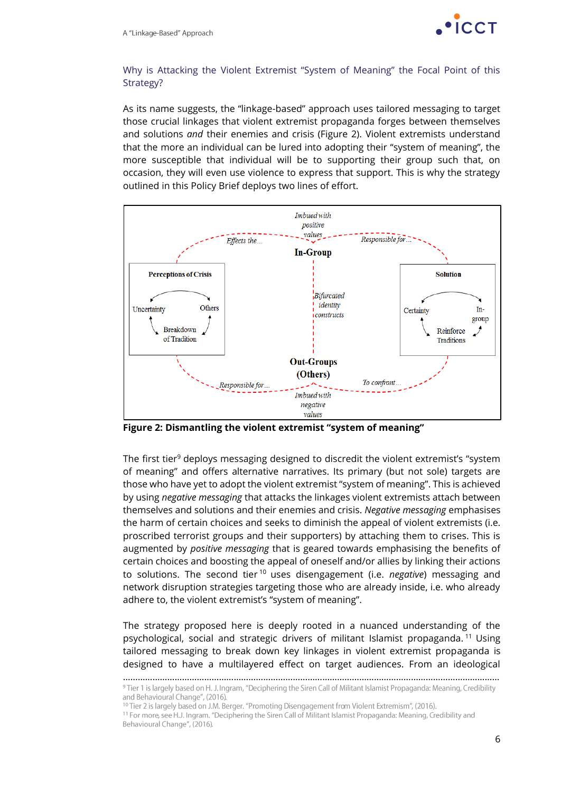

#### Why is Attacking the Violent Extremist "System of Meaning" the Focal Point of this Strategy?

As its name suggests, the "linkage-based" approach uses tailored messaging to target those crucial linkages that violent extremist propaganda forges between themselves and solutions *and* their enemies and crisis (Figure 2). Violent extremists understand that the more an individual can be lured into adopting their "system of meaning", the more susceptible that individual will be to supporting their group such that, on occasion, they will even use violence to express that support. This is why the strategy outlined in this Policy Brief deploys two lines of effort.



**Figure 2: Dismantling the violent extremist "system of meaning"**

The first tier<sup>9</sup> deploys messaging designed to discredit the violent extremist's "system of meaning" and offers alternative narratives. Its primary (but not sole) targets are those who have yet to adopt the violent extremist "system of meaning". This is achieved by using *negative messaging* that attacks the linkages violent extremists attach between themselves and solutions and their enemies and crisis. *Negative messaging* emphasises the harm of certain choices and seeks to diminish the appeal of violent extremists (i.e. proscribed terrorist groups and their supporters) by attaching them to crises. This is augmented by *positive messaging* that is geared towards emphasising the benefits of certain choices and boosting the appeal of oneself and/or allies by linking their actions to solutions. The second tier <sup>10</sup> uses disengagement (i.e. *negative*) messaging and network disruption strategies targeting those who are already inside, i.e. who already adhere to, the violent extremist's "system of meaning".

The strategy proposed here is deeply rooted in a nuanced understanding of the psychological, social and strategic drivers of militant Islamist propaganda. <sup>11</sup> Using tailored messaging to break down key linkages in violent extremist propaganda is designed to have a multilayered effect on target audiences. From an ideological

<sup>………………………………………………………………………………………………………………………………………</sup><sup>9</sup> Tier 1 is largely based on H. J. Ingram, "Deciphering the Siren Call of Militant Islamist Propaganda: Meaning, Credibility and Behavioural Change", (2016).

<sup>&</sup>lt;sup>10</sup> Tier 2 is largely based on J.M. Berger. "Promoting Disengagement from Violent Extremism", (2016).

<sup>&</sup>lt;sup>11</sup> For more, see H.J. Ingram. "Deciphering the Siren Call of Militant Islamist Propaganda: Meaning, Credibility and Behavioural Change", (2016).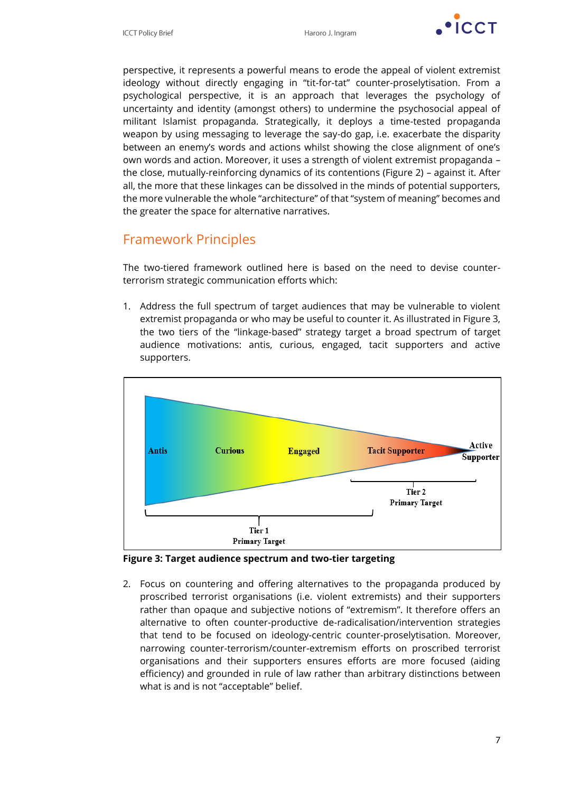

perspective, it represents a powerful means to erode the appeal of violent extremist ideology without directly engaging in "tit-for-tat" counter-proselytisation. From a psychological perspective, it is an approach that leverages the psychology of uncertainty and identity (amongst others) to undermine the psychosocial appeal of militant Islamist propaganda. Strategically, it deploys a time-tested propaganda weapon by using messaging to leverage the say-do gap, i.e. exacerbate the disparity between an enemy's words and actions whilst showing the close alignment of one's own words and action. Moreover, it uses a strength of violent extremist propaganda – the close, mutually-reinforcing dynamics of its contentions (Figure 2) – against it. After all, the more that these linkages can be dissolved in the minds of potential supporters, the more vulnerable the whole "architecture" of that "system of meaning" becomes and the greater the space for alternative narratives.

### Framework Principles

The two-tiered framework outlined here is based on the need to devise counterterrorism strategic communication efforts which:

1. Address the full spectrum of target audiences that may be vulnerable to violent extremist propaganda or who may be useful to counter it. As illustrated in Figure 3, the two tiers of the "linkage-based" strategy target a broad spectrum of target audience motivations: antis, curious, engaged, tacit supporters and active supporters.



**Figure 3: Target audience spectrum and two-tier targeting**

2. Focus on countering and offering alternatives to the propaganda produced by proscribed terrorist organisations (i.e. violent extremists) and their supporters rather than opaque and subjective notions of "extremism". It therefore offers an alternative to often counter-productive de-radicalisation/intervention strategies that tend to be focused on ideology-centric counter-proselytisation. Moreover, narrowing counter-terrorism/counter-extremism efforts on proscribed terrorist organisations and their supporters ensures efforts are more focused (aiding efficiency) and grounded in rule of law rather than arbitrary distinctions between what is and is not "acceptable" belief.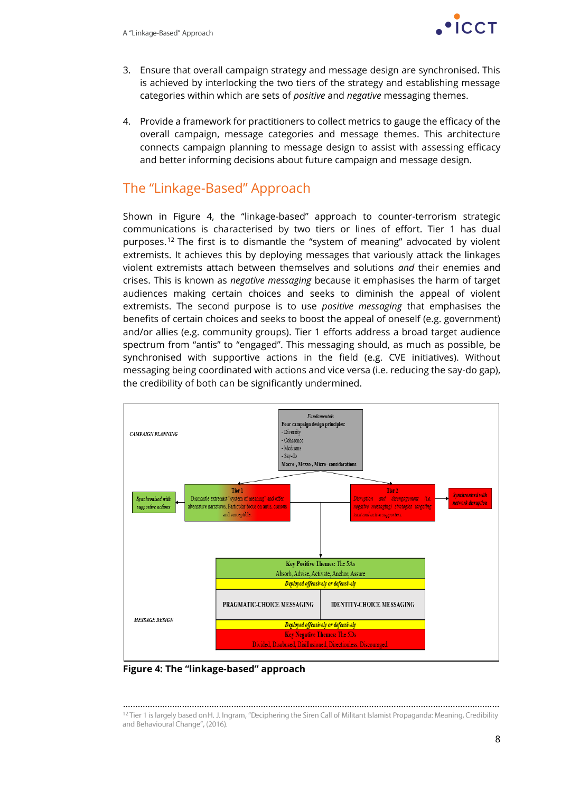

- 3. Ensure that overall campaign strategy and message design are synchronised. This is achieved by interlocking the two tiers of the strategy and establishing message categories within which are sets of *positive* and *negative* messaging themes.
- 4. Provide a framework for practitioners to collect metrics to gauge the efficacy of the overall campaign, message categories and message themes. This architecture connects campaign planning to message design to assist with assessing efficacy and better informing decisions about future campaign and message design.

### The "Linkage-Based" Approach

Shown in Figure 4, the "linkage-based" approach to counter-terrorism strategic communications is characterised by two tiers or lines of effort. Tier 1 has dual purposes.<sup>12</sup> The first is to dismantle the "system of meaning" advocated by violent extremists. It achieves this by deploying messages that variously attack the linkages violent extremists attach between themselves and solutions *and* their enemies and crises. This is known as *negative messaging* because it emphasises the harm of target audiences making certain choices and seeks to diminish the appeal of violent extremists. The second purpose is to use *positive messaging* that emphasises the benefits of certain choices and seeks to boost the appeal of oneself (e.g. government) and/or allies (e.g. community groups). Tier 1 efforts address a broad target audience spectrum from "antis" to "engaged". This messaging should, as much as possible, be synchronised with supportive actions in the field (e.g. CVE initiatives). Without messaging being coordinated with actions and vice versa (i.e. reducing the say-do gap), the credibility of both can be significantly undermined.



**Figure 4: The "linkage-based" approach**

<sup>………………………………………………………………………………………………………………………………………</sup><sup>12</sup> Tier 1 is largely based on H. J. Ingram, "Deciphering the Siren Call of Militant Islamist Propaganda: Meaning, Credibility and Behavioural Change", (2016).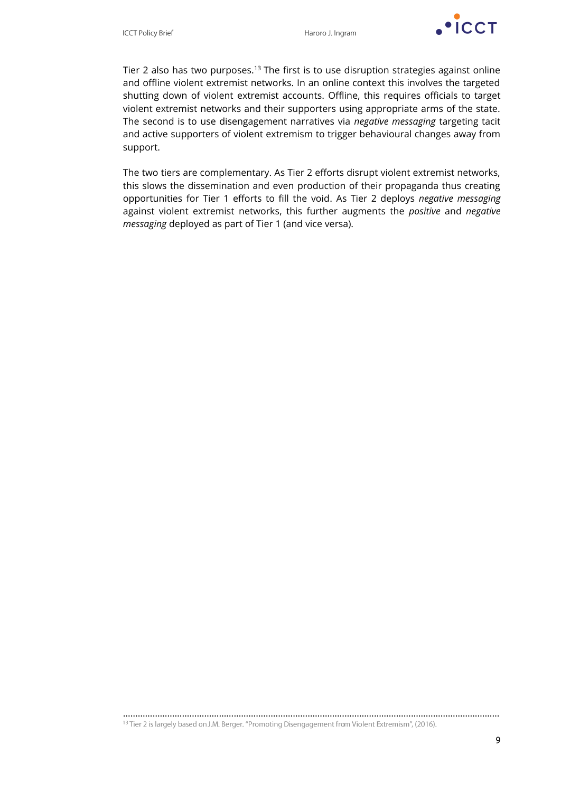

Tier 2 also has two purposes.<sup>13</sup> The first is to use disruption strategies against online and offline violent extremist networks. In an online context this involves the targeted shutting down of violent extremist accounts. Offline, this requires officials to target violent extremist networks and their supporters using appropriate arms of the state. The second is to use disengagement narratives via *negative messaging* targeting tacit and active supporters of violent extremism to trigger behavioural changes away from support.

The two tiers are complementary. As Tier 2 efforts disrupt violent extremist networks, this slows the dissemination and even production of their propaganda thus creating opportunities for Tier 1 efforts to fill the void. As Tier 2 deploys *negative messaging* against violent extremist networks, this further augments the *positive* and *negative messaging* deployed as part of Tier 1 (and vice versa).

………………………………………………………………………………………………………………………………………<sup>13</sup> Tier 2 is largely based on J.M. Berger. "Promoting Disengagement from Violent Extremism", (2016).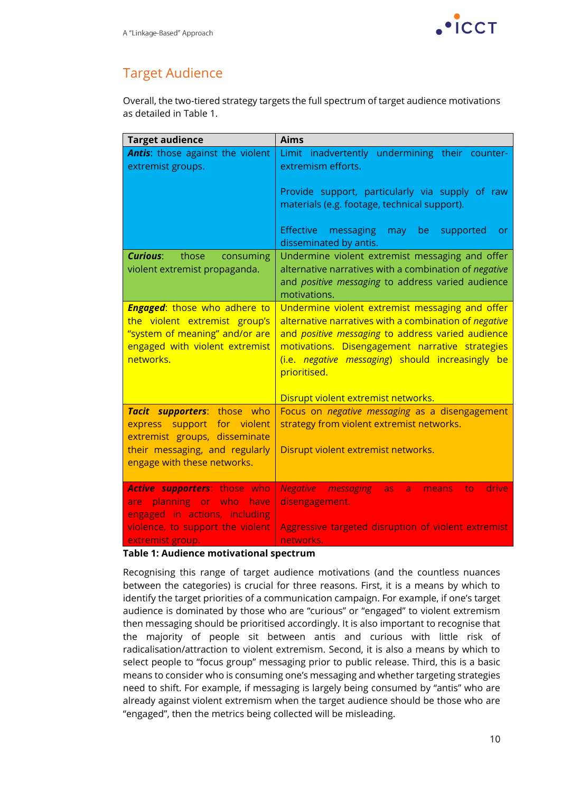

### Target Audience

Overall, the two-tiered strategy targets the full spectrum of target audience motivations as detailed in Table 1.

| <b>Target audience</b>                                                                                                                                       | <b>Aims</b>                                                                                                                                                                                                                                                                                                                         |
|--------------------------------------------------------------------------------------------------------------------------------------------------------------|-------------------------------------------------------------------------------------------------------------------------------------------------------------------------------------------------------------------------------------------------------------------------------------------------------------------------------------|
| <b>Antis:</b> those against the violent<br>extremist groups.                                                                                                 | Limit inadvertently undermining their counter-<br>extremism efforts.<br>Provide support, particularly via supply of raw<br>materials (e.g. footage, technical support).                                                                                                                                                             |
|                                                                                                                                                              | Effective<br>messaging<br>may be<br>supported<br><b>or</b><br>disseminated by antis.                                                                                                                                                                                                                                                |
| <b>Curious:</b><br>those<br>consuming<br>violent extremist propaganda.                                                                                       | Undermine violent extremist messaging and offer<br>alternative narratives with a combination of negative<br>and positive messaging to address varied audience<br>motivations.                                                                                                                                                       |
| <b>Engaged:</b> those who adhere to<br>the violent extremist group's<br>"system of meaning" and/or are<br>engaged with violent extremist<br>networks.        | Undermine violent extremist messaging and offer<br>alternative narratives with a combination of negative<br>and positive messaging to address varied audience<br>motivations. Disengagement narrative strategies<br>(i.e. <i>negative messaging</i> ) should increasingly be<br>prioritised.<br>Disrupt violent extremist networks. |
| Tacit supporters: those who<br>express support for violent<br>extremist groups, disseminate<br>their messaging, and regularly<br>engage with these networks. | Focus on negative messaging as a disengagement<br>strategy from violent extremist networks.<br>Disrupt violent extremist networks.                                                                                                                                                                                                  |
| <b>Active supporters:</b> those who<br>are planning or who have<br>engaged in actions, including<br>violence, to support the violent<br>extremist group.     | <b>Negative messaging</b><br>drive<br>to<br>as<br>a<br>means<br>disengagement.<br>Aggressive targeted disruption of violent extremist<br>networks.                                                                                                                                                                                  |

#### **Table 1: Audience motivational spectrum**

Recognising this range of target audience motivations (and the countless nuances between the categories) is crucial for three reasons. First, it is a means by which to identify the target priorities of a communication campaign. For example, if one's target audience is dominated by those who are "curious" or "engaged" to violent extremism then messaging should be prioritised accordingly. It is also important to recognise that the majority of people sit between antis and curious with little risk of radicalisation/attraction to violent extremism. Second, it is also a means by which to select people to "focus group" messaging prior to public release. Third, this is a basic means to consider who is consuming one's messaging and whether targeting strategies need to shift. For example, if messaging is largely being consumed by "antis" who are already against violent extremism when the target audience should be those who are "engaged", then the metrics being collected will be misleading.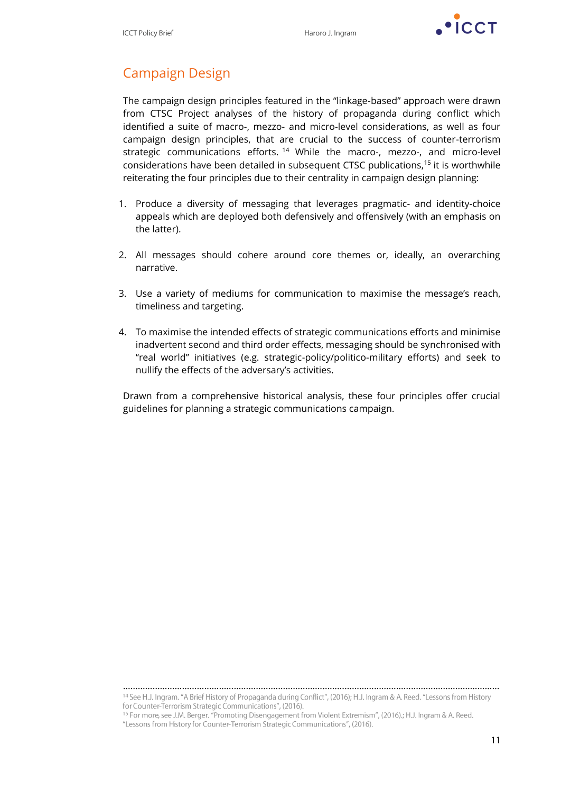

# Campaign Design

The campaign design principles featured in the "linkage-based" approach were drawn from CTSC Project analyses of the history of propaganda during conflict which identified a suite of macro-, mezzo- and micro-level considerations, as well as four campaign design principles, that are crucial to the success of counter-terrorism strategic communications efforts. <sup>14</sup> While the macro-, mezzo-, and micro-level considerations have been detailed in subsequent CTSC publications,<sup>15</sup> it is worthwhile reiterating the four principles due to their centrality in campaign design planning:

- 1. Produce a diversity of messaging that leverages pragmatic- and identity-choice appeals which are deployed both defensively and offensively (with an emphasis on the latter).
- 2. All messages should cohere around core themes or, ideally, an overarching narrative.
- 3. Use a variety of mediums for communication to maximise the message's reach, timeliness and targeting.
- 4. To maximise the intended effects of strategic communications efforts and minimise inadvertent second and third order effects, messaging should be synchronised with "real world" initiatives (e.g. strategic-policy/politico-military efforts) and seek to nullify the effects of the adversary's activities.

Drawn from a comprehensive historical analysis, these four principles offer crucial guidelines for planning a strategic communications campaign.

………………………………………………………………………………………………………………………………………

<sup>&</sup>lt;sup>14</sup> See H.J. Ingram. "A Brief History of Propaganda during Conflict", (2016); H.J. Ingram & A. Reed. "Lessons from History for Counter-Terrorism Strategic Communications", (2016).

<sup>&</sup>lt;sup>15</sup> For more, see J.M. Berger. "Promoting Disengagement from Violent Extremism", (2016).; H.J. Ingram & A. Reed. "Lessons from History for Counter-Terrorism Strategic Communications", (2016).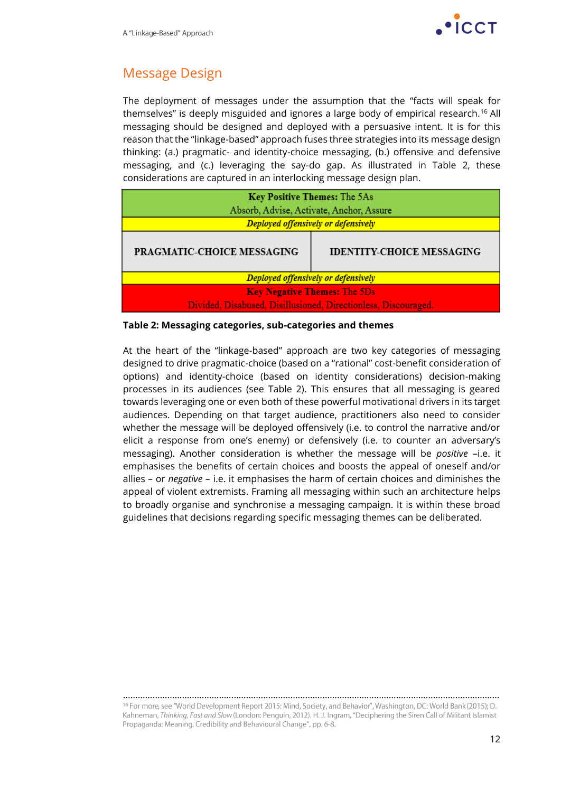

### Message Design

The deployment of messages under the assumption that the "facts will speak for themselves" is deeply misguided and ignores a large body of empirical research.<sup>16</sup> All messaging should be designed and deployed with a persuasive intent. It is for this reason that the "linkage-based" approach fuses three strategies into its message design thinking: (a.) pragmatic- and identity-choice messaging, (b.) offensive and defensive messaging, and (c.) leveraging the say-do gap. As illustrated in Table 2, these considerations are captured in an interlocking message design plan.

| Key Positive Themes: The 5As                                   |  |  |
|----------------------------------------------------------------|--|--|
| Absorb, Advise, Activate, Anchor, Assure                       |  |  |
| Deployed offensively or defensively                            |  |  |
| <b>IDENTITY-CHOICE MESSAGING</b><br>PRAGMATIC-CHOICE MESSAGING |  |  |
| Deployed offensively or defensively                            |  |  |
| <b>Key Negative Themes: The 5Ds</b>                            |  |  |
| Divided, Disabused, Disillusioned, Directionless, Discouraged. |  |  |

#### **Table 2: Messaging categories, sub-categories and themes**

At the heart of the "linkage-based" approach are two key categories of messaging designed to drive pragmatic-choice (based on a "rational" cost-benefit consideration of options) and identity-choice (based on identity considerations) decision-making processes in its audiences (see Table 2). This ensures that all messaging is geared towards leveraging one or even both of these powerful motivational drivers in its target audiences. Depending on that target audience, practitioners also need to consider whether the message will be deployed offensively (i.e. to control the narrative and/or elicit a response from one's enemy) or defensively (i.e. to counter an adversary's messaging). Another consideration is whether the message will be *positive* –i.e. it emphasises the benefits of certain choices and boosts the appeal of oneself and/or allies – or *negative* – i.e. it emphasises the harm of certain choices and diminishes the appeal of violent extremists. Framing all messaging within such an architecture helps to broadly organise and synchronise a messaging campaign. It is within these broad guidelines that decisions regarding specific messaging themes can be deliberated.

<sup>………………………………………………………………………………………………………………………………………</sup><sup>16</sup> For more, see "World Development Report 2015: Mind, Society, and Behavior", Washington, DC: World Bank (2015); D. Kahneman, Thinking, Fast and Slow (London: Penguin, 2012). H. J. Ingram, "Deciphering the Siren Call of Militant Islamist Propaganda: Meaning, Credibility and Behavioural Change", pp. 6-8.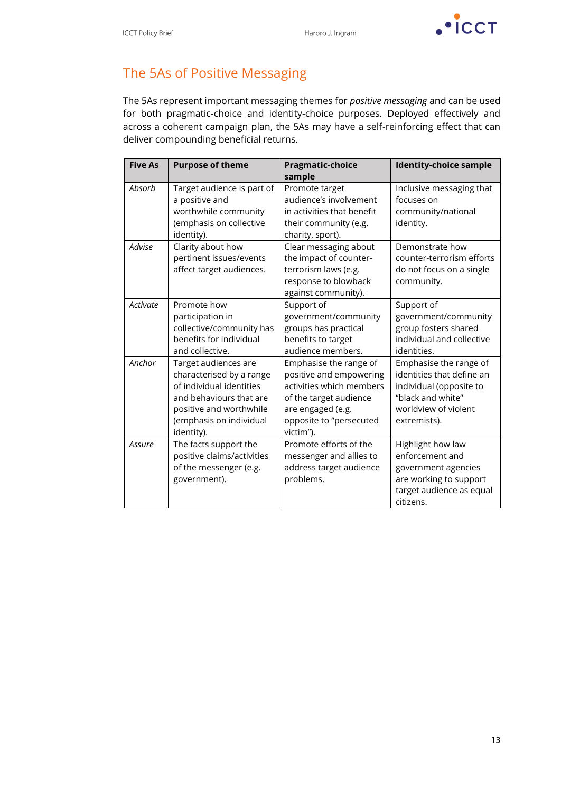

# The 5As of Positive Messaging

The 5As represent important messaging themes for *positive messaging* and can be used for both pragmatic-choice and identity-choice purposes. Deployed effectively and across a coherent campaign plan, the 5As may have a self-reinforcing effect that can deliver compounding beneficial returns.

| <b>Five As</b> | <b>Purpose of theme</b>                                                                                                                                                     | <b>Pragmatic-choice</b><br>sample                                                                                                                                    | <b>Identity-choice sample</b>                                                                                                               |
|----------------|-----------------------------------------------------------------------------------------------------------------------------------------------------------------------------|----------------------------------------------------------------------------------------------------------------------------------------------------------------------|---------------------------------------------------------------------------------------------------------------------------------------------|
| Absorb         | Target audience is part of<br>a positive and<br>worthwhile community<br>(emphasis on collective<br>identity).                                                               | Promote target<br>audience's involvement<br>in activities that benefit<br>their community (e.g.<br>charity, sport).                                                  | Inclusive messaging that<br>focuses on<br>community/national<br>identity.                                                                   |
| Advise         | Clarity about how<br>pertinent issues/events<br>affect target audiences.                                                                                                    | Clear messaging about<br>the impact of counter-<br>terrorism laws (e.g.<br>response to blowback<br>against community).                                               | Demonstrate how<br>counter-terrorism efforts<br>do not focus on a single<br>community.                                                      |
| Activate       | Promote how<br>participation in<br>collective/community has<br>benefits for individual<br>and collective.                                                                   | Support of<br>government/community<br>groups has practical<br>benefits to target<br>audience members.                                                                | Support of<br>government/community<br>group fosters shared<br>individual and collective<br>identities.                                      |
| Anchor         | Target audiences are<br>characterised by a range<br>of individual identities<br>and behaviours that are<br>positive and worthwhile<br>(emphasis on individual<br>identity). | Emphasise the range of<br>positive and empowering<br>activities which members<br>of the target audience<br>are engaged (e.g.<br>opposite to "persecuted<br>victim"). | Emphasise the range of<br>identities that define an<br>individual (opposite to<br>"black and white"<br>worldview of violent<br>extremists). |
| Assure         | The facts support the<br>positive claims/activities<br>of the messenger (e.g.<br>government).                                                                               | Promote efforts of the<br>messenger and allies to<br>address target audience<br>problems.                                                                            | Highlight how law<br>enforcement and<br>government agencies<br>are working to support<br>target audience as equal<br>citizens.              |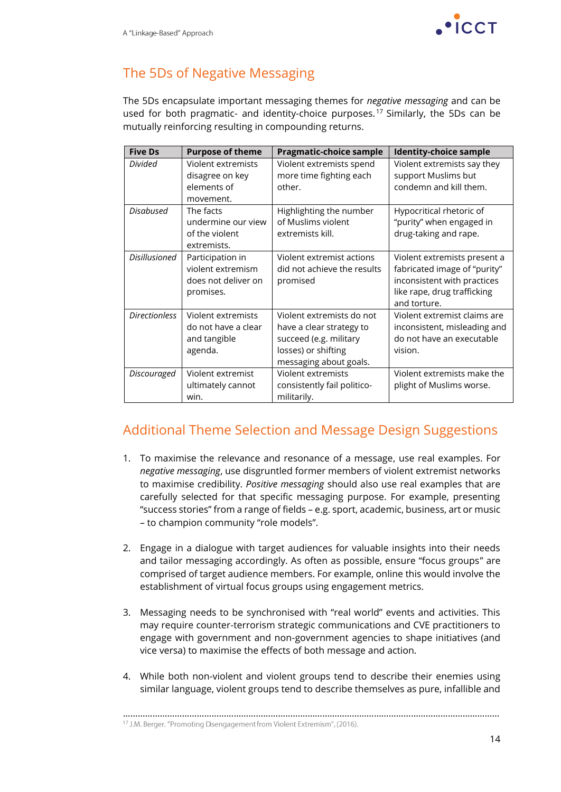

# The 5Ds of Negative Messaging

The 5Ds encapsulate important messaging themes for *negative messaging* and can be used for both pragmatic- and identity-choice purposes.<sup>17</sup> Similarly, the 5Ds can be mutually reinforcing resulting in compounding returns.

| <b>Five Ds</b>       | <b>Purpose of theme</b>                                                   | <b>Pragmatic-choice sample</b>                                                                                                   | <b>Identity-choice sample</b>                                                                                                              |
|----------------------|---------------------------------------------------------------------------|----------------------------------------------------------------------------------------------------------------------------------|--------------------------------------------------------------------------------------------------------------------------------------------|
| <b>Divided</b>       | Violent extremists<br>disagree on key<br>elements of<br>movement.         | Violent extremists spend<br>more time fighting each<br>other.                                                                    | Violent extremists say they<br>support Muslims but<br>condemn and kill them.                                                               |
| <b>Disabused</b>     | The facts<br>undermine our view<br>of the violent<br>extremists.          | Highlighting the number<br>of Muslims violent<br>extremists kill.                                                                | Hypocritical rhetoric of<br>"purity" when engaged in<br>drug-taking and rape.                                                              |
| <b>Disillusioned</b> | Participation in<br>violent extremism<br>does not deliver on<br>promises. | Violent extremist actions<br>did not achieve the results<br>promised                                                             | Violent extremists present a<br>fabricated image of "purity"<br>inconsistent with practices<br>like rape, drug trafficking<br>and torture. |
| <b>Directionless</b> | Violent extremists<br>do not have a clear<br>and tangible<br>agenda.      | Violent extremists do not<br>have a clear strategy to<br>succeed (e.g. military<br>losses) or shifting<br>messaging about goals. | Violent extremist claims are<br>inconsistent, misleading and<br>do not have an executable<br>vision.                                       |
| <b>Discouraged</b>   | Violent extremist<br>ultimately cannot<br>win.                            | Violent extremists<br>consistently fail politico-<br>militarily.                                                                 | Violent extremists make the<br>plight of Muslims worse.                                                                                    |

### Additional Theme Selection and Message Design Suggestions

- 1. To maximise the relevance and resonance of a message, use real examples. For *negative messaging*, use disgruntled former members of violent extremist networks to maximise credibility. *Positive messaging* should also use real examples that are carefully selected for that specific messaging purpose. For example, presenting "success stories" from a range of fields – e.g. sport, academic, business, art or music – to champion community "role models".
- 2. Engage in a dialogue with target audiences for valuable insights into their needs and tailor messaging accordingly. As often as possible, ensure "focus groups" are comprised of target audience members. For example, online this would involve the establishment of virtual focus groups using engagement metrics.
- 3. Messaging needs to be synchronised with "real world" events and activities. This may require counter-terrorism strategic communications and CVE practitioners to engage with government and non-government agencies to shape initiatives (and vice versa) to maximise the effects of both message and action.
- 4. While both non-violent and violent groups tend to describe their enemies using similar language, violent groups tend to describe themselves as pure, infallible and

………………………………………………………………………………………………………………………………………<sup>17</sup> J.M. Berger. "Promoting Disengagement from Violent Extremism", (2016).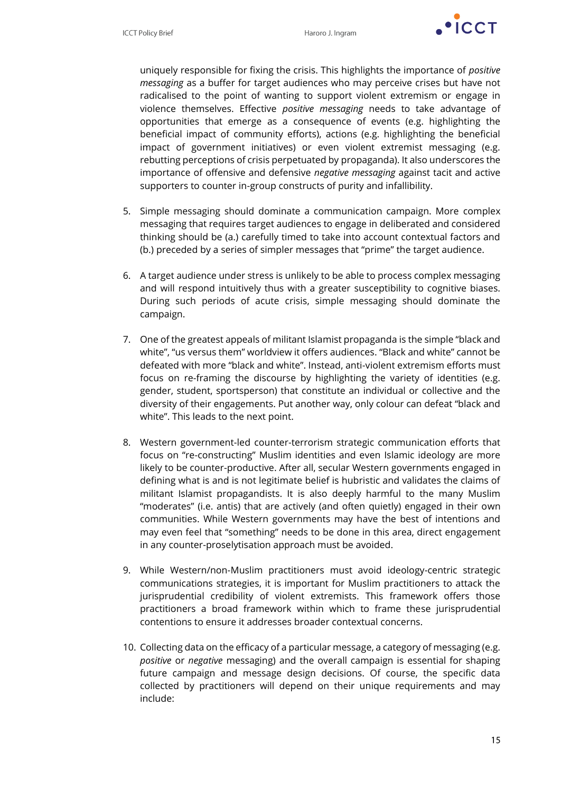

uniquely responsible for fixing the crisis. This highlights the importance of *positive messaging* as a buffer for target audiences who may perceive crises but have not radicalised to the point of wanting to support violent extremism or engage in violence themselves. Effective *positive messaging* needs to take advantage of opportunities that emerge as a consequence of events (e.g. highlighting the beneficial impact of community efforts), actions (e.g. highlighting the beneficial impact of government initiatives) or even violent extremist messaging (e.g. rebutting perceptions of crisis perpetuated by propaganda). It also underscores the importance of offensive and defensive *negative messaging* against tacit and active supporters to counter in-group constructs of purity and infallibility.

- 5. Simple messaging should dominate a communication campaign. More complex messaging that requires target audiences to engage in deliberated and considered thinking should be (a.) carefully timed to take into account contextual factors and (b.) preceded by a series of simpler messages that "prime" the target audience.
- 6. A target audience under stress is unlikely to be able to process complex messaging and will respond intuitively thus with a greater susceptibility to cognitive biases. During such periods of acute crisis, simple messaging should dominate the campaign.
- 7. One of the greatest appeals of militant Islamist propaganda is the simple "black and white", "us versus them" worldview it offers audiences. "Black and white" cannot be defeated with more "black and white". Instead, anti-violent extremism efforts must focus on re-framing the discourse by highlighting the variety of identities (e.g. gender, student, sportsperson) that constitute an individual or collective and the diversity of their engagements. Put another way, only colour can defeat "black and white". This leads to the next point.
- 8. Western government-led counter-terrorism strategic communication efforts that focus on "re-constructing" Muslim identities and even Islamic ideology are more likely to be counter-productive. After all, secular Western governments engaged in defining what is and is not legitimate belief is hubristic and validates the claims of militant Islamist propagandists. It is also deeply harmful to the many Muslim "moderates" (i.e. antis) that are actively (and often quietly) engaged in their own communities. While Western governments may have the best of intentions and may even feel that "something" needs to be done in this area, direct engagement in any counter-proselytisation approach must be avoided.
- 9. While Western/non-Muslim practitioners must avoid ideology-centric strategic communications strategies, it is important for Muslim practitioners to attack the jurisprudential credibility of violent extremists. This framework offers those practitioners a broad framework within which to frame these jurisprudential contentions to ensure it addresses broader contextual concerns.
- 10. Collecting data on the efficacy of a particular message, a category of messaging (e.g. *positive* or *negative* messaging) and the overall campaign is essential for shaping future campaign and message design decisions. Of course, the specific data collected by practitioners will depend on their unique requirements and may include: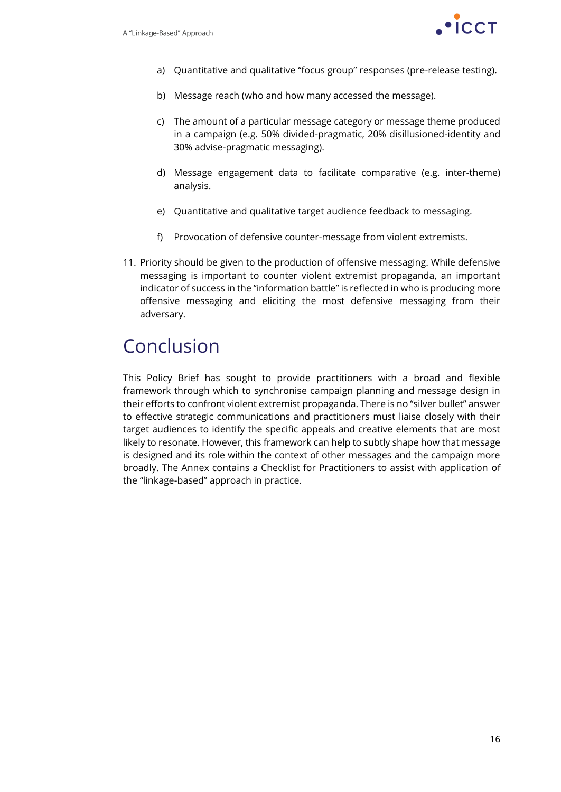

- a) Quantitative and qualitative "focus group" responses (pre-release testing).
- b) Message reach (who and how many accessed the message).
- c) The amount of a particular message category or message theme produced in a campaign (e.g. 50% divided-pragmatic, 20% disillusioned-identity and 30% advise-pragmatic messaging).
- d) Message engagement data to facilitate comparative (e.g. inter-theme) analysis.
- e) Quantitative and qualitative target audience feedback to messaging.
- f) Provocation of defensive counter-message from violent extremists.
- 11. Priority should be given to the production of offensive messaging. While defensive messaging is important to counter violent extremist propaganda, an important indicator of success in the "information battle" is reflected in who is producing more offensive messaging and eliciting the most defensive messaging from their adversary.

# Conclusion

This Policy Brief has sought to provide practitioners with a broad and flexible framework through which to synchronise campaign planning and message design in their efforts to confront violent extremist propaganda. There is no "silver bullet" answer to effective strategic communications and practitioners must liaise closely with their target audiences to identify the specific appeals and creative elements that are most likely to resonate. However, this framework can help to subtly shape how that message is designed and its role within the context of other messages and the campaign more broadly. The Annex contains a Checklist for Practitioners to assist with application of the "linkage-based" approach in practice.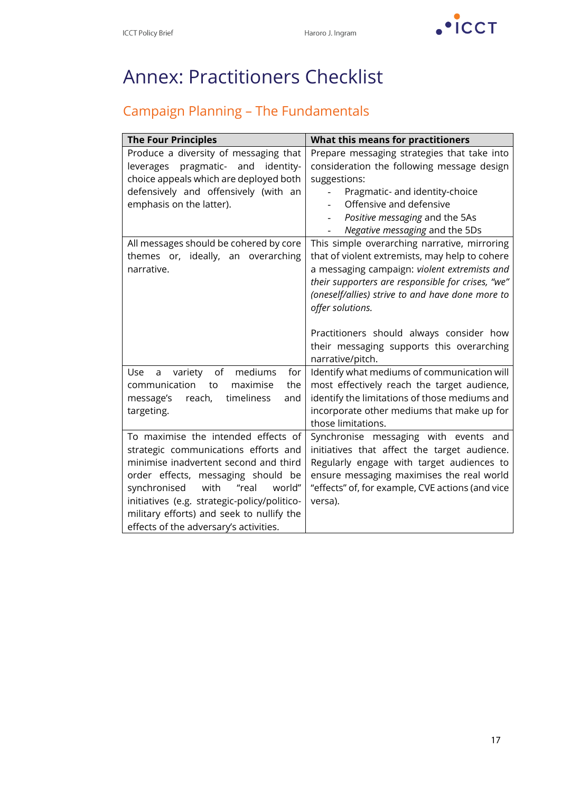$\cdot$   $\cdot$   $\cdot$   $\cdot$   $\cdot$   $\cdot$   $\cdot$   $\cdot$ 

# Annex: Practitioners Checklist

# Campaign Planning – The Fundamentals

| <b>The Four Principles</b>                                                                                                                                                                                                                                                                                                                   | <b>What this means for practitioners</b>                                                                                                                                                                                                                                                                                                                                                 |
|----------------------------------------------------------------------------------------------------------------------------------------------------------------------------------------------------------------------------------------------------------------------------------------------------------------------------------------------|------------------------------------------------------------------------------------------------------------------------------------------------------------------------------------------------------------------------------------------------------------------------------------------------------------------------------------------------------------------------------------------|
| Produce a diversity of messaging that<br>pragmatic-<br>and<br>identity-<br>leverages<br>choice appeals which are deployed both                                                                                                                                                                                                               | Prepare messaging strategies that take into<br>consideration the following message design<br>suggestions:                                                                                                                                                                                                                                                                                |
| defensively and offensively (with an<br>emphasis on the latter).                                                                                                                                                                                                                                                                             | Pragmatic- and identity-choice<br>Offensive and defensive<br>Positive messaging and the 5As<br>Negative messaging and the 5Ds                                                                                                                                                                                                                                                            |
| All messages should be cohered by core<br>themes or, ideally, an overarching<br>narrative.                                                                                                                                                                                                                                                   | This simple overarching narrative, mirroring<br>that of violent extremists, may help to cohere<br>a messaging campaign: violent extremists and<br>their supporters are responsible for crises, "we"<br>(oneself/allies) strive to and have done more to<br>offer solutions.<br>Practitioners should always consider how<br>their messaging supports this overarching<br>narrative/pitch. |
| of<br>Use<br>variety<br>mediums<br>for<br>a<br>the<br>communication<br>maximise<br>to<br>timeliness<br>reach,<br>message's<br>and<br>targeting.                                                                                                                                                                                              | Identify what mediums of communication will<br>most effectively reach the target audience,<br>identify the limitations of those mediums and<br>incorporate other mediums that make up for<br>those limitations.                                                                                                                                                                          |
| To maximise the intended effects of<br>strategic communications efforts and<br>minimise inadvertent second and third<br>order effects, messaging should be<br>"real<br>synchronised<br>with<br>world"<br>initiatives (e.g. strategic-policy/politico-<br>military efforts) and seek to nullify the<br>effects of the adversary's activities. | Synchronise messaging with events and<br>initiatives that affect the target audience.<br>Regularly engage with target audiences to<br>ensure messaging maximises the real world<br>"effects" of, for example, CVE actions (and vice<br>versa).                                                                                                                                           |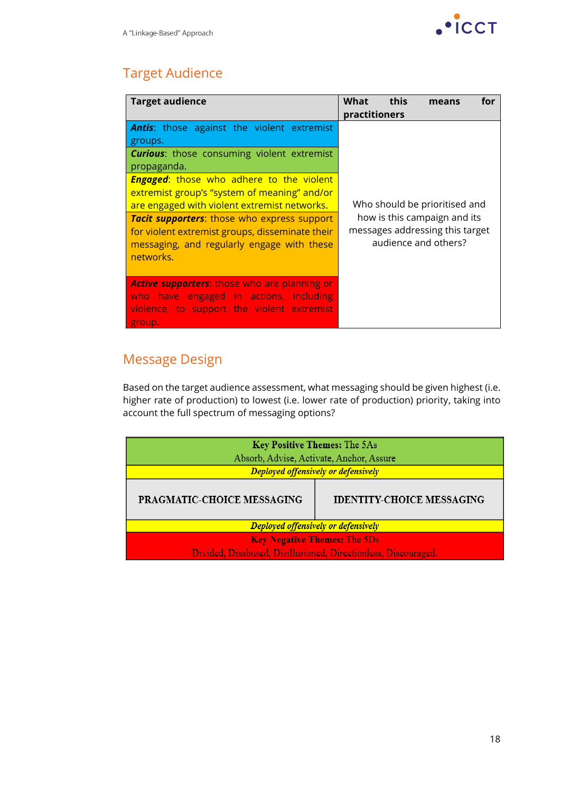

# Target Audience

| <b>Target audience</b>                                                                                                                                                                                                                                                                                                                    | this<br>What<br>for<br>means<br>practitioners                                                                            |  |  |
|-------------------------------------------------------------------------------------------------------------------------------------------------------------------------------------------------------------------------------------------------------------------------------------------------------------------------------------------|--------------------------------------------------------------------------------------------------------------------------|--|--|
| <b>Antis:</b> those against the violent extremist<br>groups.<br><b>Curious:</b> those consuming violent extremist<br>propaganda.<br><b>Engaged:</b> those who adhere to the violent<br>extremist group's "system of meaning" and/or<br>are engaged with violent extremist networks.<br><b>Tacit supporters:</b> those who express support | Who should be prioritised and<br>how is this campaign and its<br>messages addressing this target<br>audience and others? |  |  |
| for violent extremist groups, disseminate their<br>messaging, and regularly engage with these<br>networks.                                                                                                                                                                                                                                |                                                                                                                          |  |  |
| <b>Active supporters:</b> those who are planning or<br>who have engaged in actions, including<br>violence, to support the violent extremist<br>group.                                                                                                                                                                                     |                                                                                                                          |  |  |

# Message Design

Based on the target audience assessment, what messaging should be given highest (i.e. higher rate of production) to lowest (i.e. lower rate of production) priority, taking into account the full spectrum of messaging options?

| Key Positive Themes: The 5As<br>Absorb, Advise, Activate, Anchor, Assure<br>Deployed offensively or defensively |  |  |
|-----------------------------------------------------------------------------------------------------------------|--|--|
| <b>PRAGMATIC-CHOICE MESSAGING</b><br><b>IDENTITY-CHOICE MESSAGING</b>                                           |  |  |
| Deployed offensively or defensively                                                                             |  |  |
| <b>Key Negative Themes: The 5Ds</b>                                                                             |  |  |
| Divided, Disabused, Disillusioned, Directionless, Discouraged.                                                  |  |  |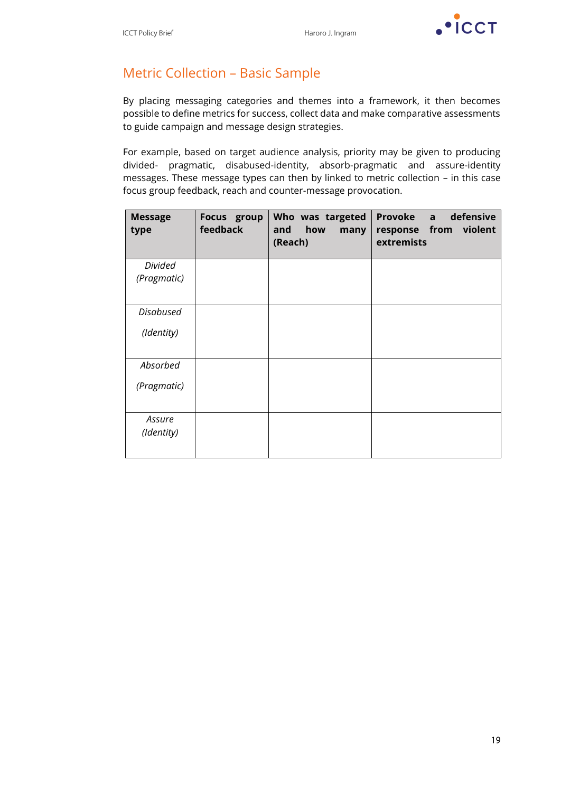

# Metric Collection – Basic Sample

By placing messaging categories and themes into a framework, it then becomes possible to define metrics for success, collect data and make comparative assessments to guide campaign and message design strategies.

For example, based on target audience analysis, priority may be given to producing divided- pragmatic, disabused-identity, absorb-pragmatic and assure-identity messages. These message types can then by linked to metric collection – in this case focus group feedback, reach and counter-message provocation.

| <b>Message</b><br>type | Focus group<br>feedback | Who was targeted<br>how<br>and<br>many<br>(Reach) | Provoke a<br>defensive<br>response from violent<br>extremists |
|------------------------|-------------------------|---------------------------------------------------|---------------------------------------------------------------|
| <b>Divided</b>         |                         |                                                   |                                                               |
| (Pragmatic)            |                         |                                                   |                                                               |
| <b>Disabused</b>       |                         |                                                   |                                                               |
| (Identity)             |                         |                                                   |                                                               |
| Absorbed               |                         |                                                   |                                                               |
| (Pragmatic)            |                         |                                                   |                                                               |
| Assure<br>(Identity)   |                         |                                                   |                                                               |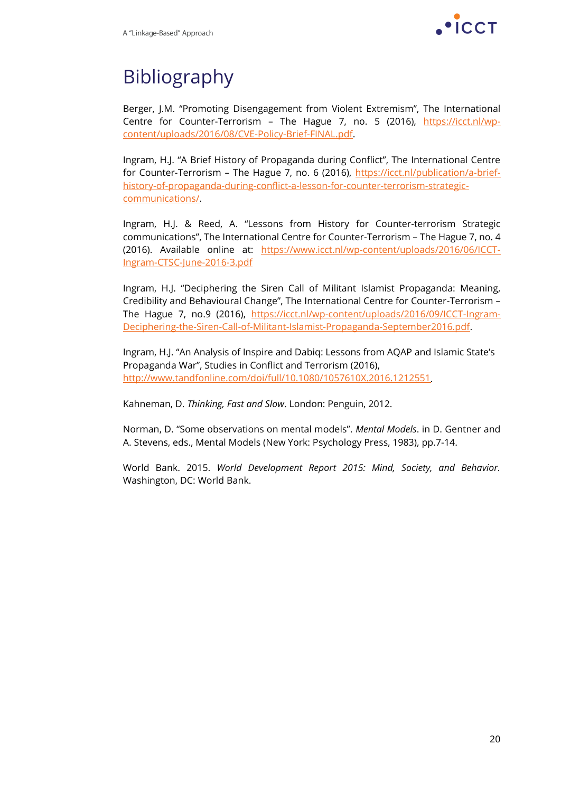

# Bibliography

Berger, J.M. "Promoting Disengagement from Violent Extremism", The International Centre for Counter-Terrorism - The Hague 7, no. 5 (2016), [https://icct.nl/wp](https://icct.nl/wp-content/uploads/2016/08/CVE-Policy-Brief-FINAL.pdf)[content/uploads/2016/08/CVE-Policy-Brief-FINAL.pdf.](https://icct.nl/wp-content/uploads/2016/08/CVE-Policy-Brief-FINAL.pdf)

Ingram, H.J. "A Brief History of Propaganda during Conflict", The International Centre for Counter-Terrorism – The Hague 7, no. 6 (2016), [https://icct.nl/publication/a-brief](https://icct.nl/publication/a-brief-history-of-propaganda-during-conflict-a-lesson-for-counter-terrorism-strategic-communications/)[history-of-propaganda-during-conflict-a-lesson-for-counter-terrorism-strategic](https://icct.nl/publication/a-brief-history-of-propaganda-during-conflict-a-lesson-for-counter-terrorism-strategic-communications/)[communications/.](https://icct.nl/publication/a-brief-history-of-propaganda-during-conflict-a-lesson-for-counter-terrorism-strategic-communications/)

Ingram, H.J. & Reed, A. "Lessons from History for Counter-terrorism Strategic communications", The International Centre for Counter-Terrorism – The Hague 7, no. 4 (2016). Available online at: [https://www.icct.nl/wp-content/uploads/2016/06/ICCT-](https://www.icct.nl/wp-content/uploads/2016/06/ICCT-Ingram-CTSC-June-2016-3.pdf)[Ingram-CTSC-June-2016-3.pdf](https://www.icct.nl/wp-content/uploads/2016/06/ICCT-Ingram-CTSC-June-2016-3.pdf)

Ingram, H.J. "Deciphering the Siren Call of Militant Islamist Propaganda: Meaning, Credibility and Behavioural Change", The International Centre for Counter-Terrorism – The Hague 7, no.9 (2016), [https://icct.nl/wp-content/uploads/2016/09/ICCT-Ingram-](https://icct.nl/wp-content/uploads/2016/09/ICCT-Ingram-Deciphering-the-Siren-Call-of-Militant-Islamist-Propaganda-September2016.pdf)[Deciphering-the-Siren-Call-of-Militant-Islamist-Propaganda-September2016.pdf.](https://icct.nl/wp-content/uploads/2016/09/ICCT-Ingram-Deciphering-the-Siren-Call-of-Militant-Islamist-Propaganda-September2016.pdf)

Ingram, H.J. "An Analysis of Inspire and Dabiq: Lessons from AQAP and Islamic State's Propaganda War", Studies in Conflict and Terrorism (2016), <http://www.tandfonline.com/doi/full/10.1080/1057610X.2016.1212551>

Kahneman, D. *Thinking, Fast and Slow*. London: Penguin, 2012.

Norman, D. "Some observations on mental models". *Mental Models*. in D. Gentner and A. Stevens, eds., Mental Models (New York: Psychology Press, 1983), pp.7-14.

World Bank. 2015. *World Development Report 2015: Mind, Society, and Behavior.* Washington, DC: World Bank.